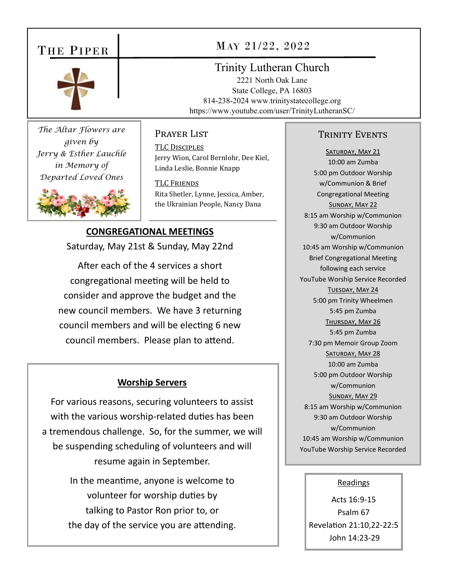# THE PIPER



*The Altar Flowers are given by Jerry & Esther Lauchle in Memory of Departed Loved Ones* 



# MAY 21/22, 2022

## Trinity Lutheran Church

2221 North Oak Lane State College, PA 16803 814-238-2024 www.trinitystatecollege.org https://www.youtube.com/user/TrinityLutheranSC/

## PRAYER LIST

TLC DISCIPLES Jerry Wion, Carol Bernlohr, Dee Kiel, Linda Leslie, Bonnie Knapp

TLC FRIENDS Rita Shetler, Lynne, Jessica, Amber, the Ukrainian People, Nancy Dana

## **CONGREGATIONAL MEETINGS**

Saturday, May 21st & Sunday, May 22nd

After each of the 4 services a short congregational meeting will be held to consider and approve the budget and the new council members. We have 3 returning council members and will be electing 6 new council members. Please plan to attend.

## **Worship Servers**

For various reasons, securing volunteers to assist with the various worship-related duties has been a tremendous challenge. So, for the summer, we will be suspending scheduling of volunteers and will resume again in September.

> In the meantime, anyone is welcome to volunteer for worship duties by talking to Pastor Ron prior to, or the day of the service you are attending.

## TRINITY EVENTS

SATURDAY, MAY 21 10:00 am Zumba 5:00 pm Outdoor Worship w/Communion & Brief Congregational Meeting SUNDAY, MAY 22 8:15 am Worship w/Communion 9:30 am Outdoor Worship w/Communion 10:45 am Worship w/Communion Brief Congregational Meeting following each service YouTube Worship Service Recorded TUESDAY, MAY 24 5:00 pm Trinity Wheelmen 5:45 pm Zumba THURSDAY, MAY 26 5:45 pm Zumba 7:30 pm Memoir Group Zoom SATURDAY, MAY 28 10:00 am Zumba 5:00 pm Outdoor Worship w/Communion SUNDAY, MAY 29 8:15 am Worship w/Communion 9:30 am Outdoor Worship w/Communion 10:45 am Worship w/Communion YouTube Worship Service Recorded

#### Readings

Acts 16:9‐15 Psalm 67 RevelaƟon 21:10,22‐22:5 John 14:23‐29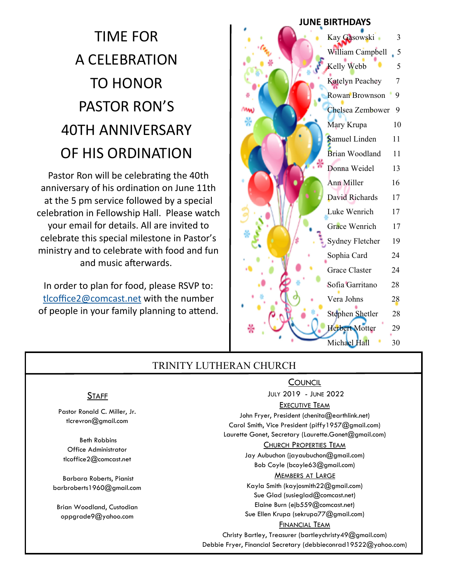# TIME FOR A CELEBRATION TO HONOR PASTOR RON'S 40TH ANNIVERSARY OF HIS ORDINATION

Pastor Ron will be celebrating the 40th anniversary of his ordination on June 11th at the 5 pm service followed by a special celebration in Fellowship Hall. Please watch your email for details. All are invited to celebrate this special milestone in Pastor's ministry and to celebrate with food and fun and music afterwards.

In order to plan for food, please RSVP to: tlcoffice2@comcast.net with the number of people in your family planning to attend.

# Kay Gasowski 3 William Campbell 5 Kelly Webb 5 Katelyn Peachey 7 Rowan Brownson 9 Chelsea Zembower 9 Mary Krupa 10 Samuel Linden 11 Brian Woodland 11 Donna Weidel 13 Ann Miller 16 David Richards 17 Luke Wenrich 17 Grace Wenrich 17 Sydney Fletcher 19 Sophia Card 24 Grace Claster 24 Sofia Garritano 28 Vera Johns 28 Stephen Shetler 28 Herbert Motter 29 Michael Hall 30 **JUNE BIRTHDAYS**

## TRINITY LUTHERAN CHURCH

## **COUNCIL**

JULY 2019 - JUNE 2022

### EXECUTIVE TEAM

John Fryer, President (chenita@earthlink.net) Carol Smith, Vice President (piffy1957@gmail.com) Laurette Gonet, Secretary (Laurette.Gonet@gmail.com)

#### CHURCH PROPERTIES TEAM

Jay Aubuchon (jayaubuchon@gmail.com) Bob Coyle (bcoyle63@gmail.com)

#### MEMBERS AT LARGE

Kayla Smith (kayjosmith22@gmail.com) Sue Glad (susieglad@comcast.net) Elaine Burn (ejb559@comcast.net) Sue Ellen Krupa (sekrupa77@gmail.com)

### FINANCIAL TEAM

Christy Bartley, Treasurer (bartleychristy49@gmail.com) Debbie Fryer, Financial Secretary (debbieconrad19522@yahoo.com)

## **STAFF**

Pastor Ronald C. Miller, Jr. tlcrevron@gmail.com

 Beth Robbins Office Administrator tlcoffice2@comcast.net

 Barbara Roberts, Pianist barbroberts1960@gmail.com

Brian Woodland, Custodian oppgrade9@yahoo.com